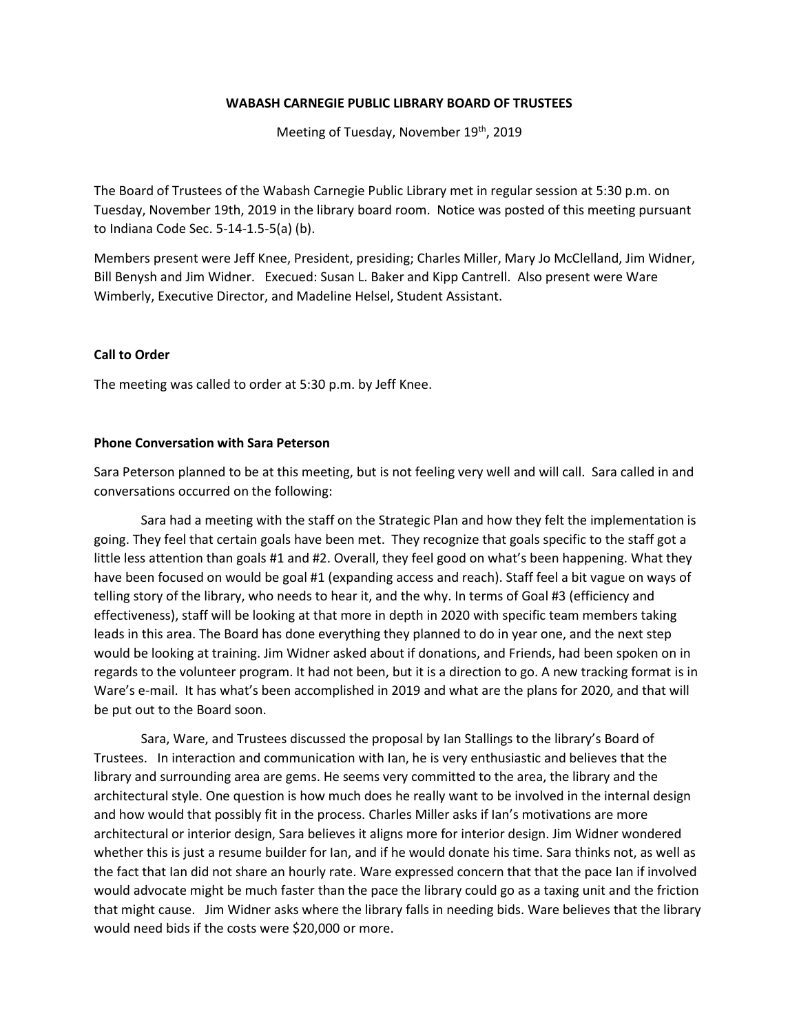#### **WABASH CARNEGIE PUBLIC LIBRARY BOARD OF TRUSTEES**

Meeting of Tuesday, November 19<sup>th</sup>, 2019

The Board of Trustees of the Wabash Carnegie Public Library met in regular session at 5:30 p.m. on Tuesday, November 19th, 2019 in the library board room. Notice was posted of this meeting pursuant to Indiana Code Sec. 5-14-1.5-5(a) (b).

Members present were Jeff Knee, President, presiding; Charles Miller, Mary Jo McClelland, Jim Widner, Bill Benysh and Jim Widner. Execued: Susan L. Baker and Kipp Cantrell. Also present were Ware Wimberly, Executive Director, and Madeline Helsel, Student Assistant.

#### **Call to Order**

The meeting was called to order at 5:30 p.m. by Jeff Knee.

#### **Phone Conversation with Sara Peterson**

Sara Peterson planned to be at this meeting, but is not feeling very well and will call. Sara called in and conversations occurred on the following:

Sara had a meeting with the staff on the Strategic Plan and how they felt the implementation is going. They feel that certain goals have been met. They recognize that goals specific to the staff got a little less attention than goals #1 and #2. Overall, they feel good on what's been happening. What they have been focused on would be goal #1 (expanding access and reach). Staff feel a bit vague on ways of telling story of the library, who needs to hear it, and the why. In terms of Goal #3 (efficiency and effectiveness), staff will be looking at that more in depth in 2020 with specific team members taking leads in this area. The Board has done everything they planned to do in year one, and the next step would be looking at training. Jim Widner asked about if donations, and Friends, had been spoken on in regards to the volunteer program. It had not been, but it is a direction to go. A new tracking format is in Ware's e-mail. It has what's been accomplished in 2019 and what are the plans for 2020, and that will be put out to the Board soon.

Sara, Ware, and Trustees discussed the proposal by Ian Stallings to the library's Board of Trustees. In interaction and communication with Ian, he is very enthusiastic and believes that the library and surrounding area are gems. He seems very committed to the area, the library and the architectural style. One question is how much does he really want to be involved in the internal design and how would that possibly fit in the process. Charles Miller asks if Ian's motivations are more architectural or interior design, Sara believes it aligns more for interior design. Jim Widner wondered whether this is just a resume builder for Ian, and if he would donate his time. Sara thinks not, as well as the fact that Ian did not share an hourly rate. Ware expressed concern that that the pace Ian if involved would advocate might be much faster than the pace the library could go as a taxing unit and the friction that might cause. Jim Widner asks where the library falls in needing bids. Ware believes that the library would need bids if the costs were \$20,000 or more.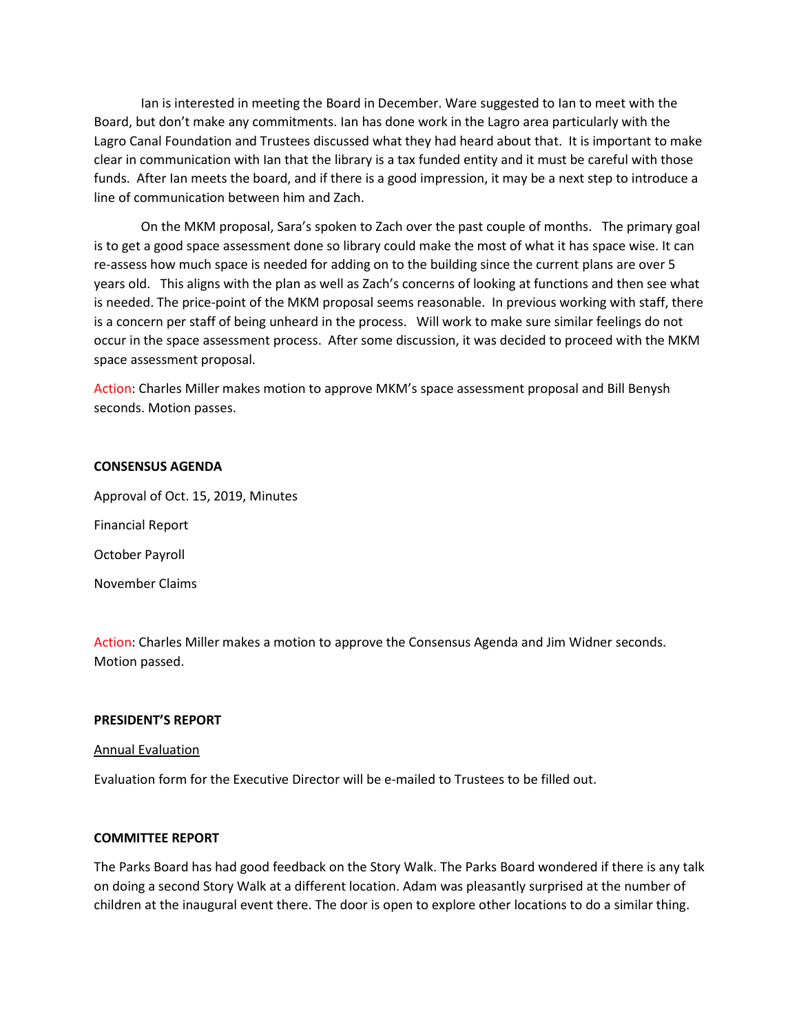Ian is interested in meeting the Board in December. Ware suggested to Ian to meet with the Board, but don't make any commitments. Ian has done work in the Lagro area particularly with the Lagro Canal Foundation and Trustees discussed what they had heard about that. It is important to make clear in communication with Ian that the library is a tax funded entity and it must be careful with those funds. After Ian meets the board, and if there is a good impression, it may be a next step to introduce a line of communication between him and Zach.

On the MKM proposal, Sara's spoken to Zach over the past couple of months. The primary goal is to get a good space assessment done so library could make the most of what it has space wise. It can re-assess how much space is needed for adding on to the building since the current plans are over 5 years old. This aligns with the plan as well as Zach's concerns of looking at functions and then see what is needed. The price-point of the MKM proposal seems reasonable. In previous working with staff, there is a concern per staff of being unheard in the process. Will work to make sure similar feelings do not occur in the space assessment process. After some discussion, it was decided to proceed with the MKM space assessment proposal.

Action: Charles Miller makes motion to approve MKM's space assessment proposal and Bill Benysh seconds. Motion passes.

#### **CONSENSUS AGENDA**

Approval of Oct. 15, 2019, Minutes Financial Report October Payroll November Claims

Action: Charles Miller makes a motion to approve the Consensus Agenda and Jim Widner seconds. Motion passed.

#### **PRESIDENT'S REPORT**

#### Annual Evaluation

Evaluation form for the Executive Director will be e-mailed to Trustees to be filled out.

#### **COMMITTEE REPORT**

The Parks Board has had good feedback on the Story Walk. The Parks Board wondered if there is any talk on doing a second Story Walk at a different location. Adam was pleasantly surprised at the number of children at the inaugural event there. The door is open to explore other locations to do a similar thing.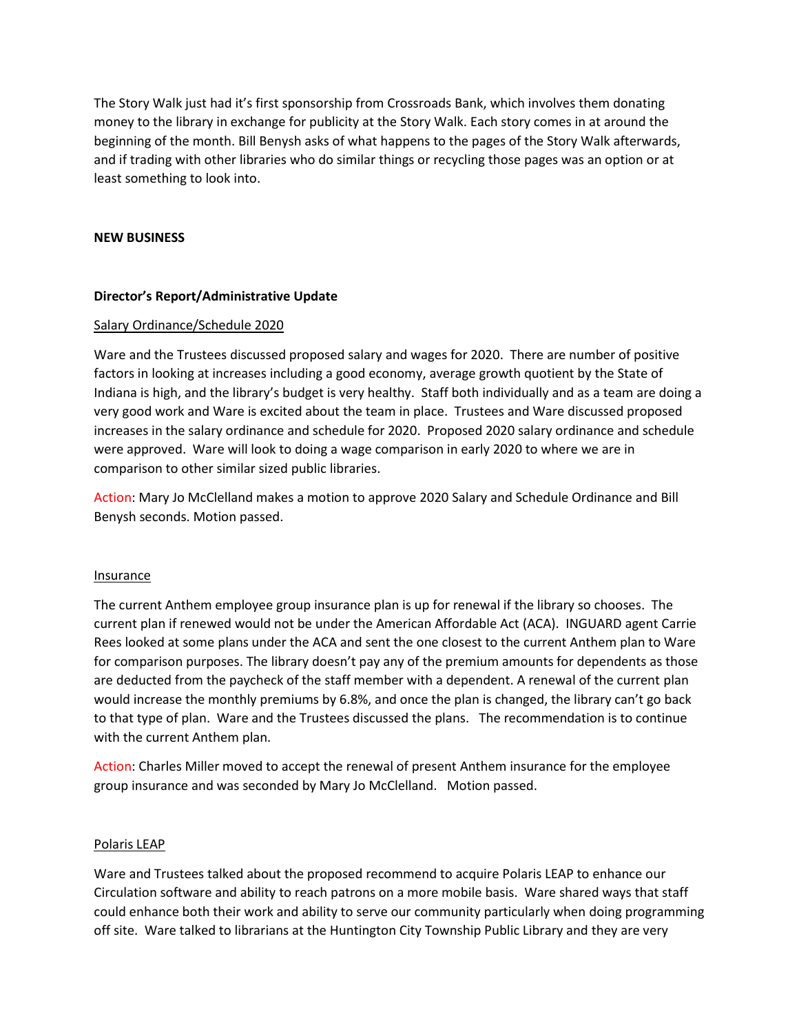The Story Walk just had it's first sponsorship from Crossroads Bank, which involves them donating money to the library in exchange for publicity at the Story Walk. Each story comes in at around the beginning of the month. Bill Benysh asks of what happens to the pages of the Story Walk afterwards, and if trading with other libraries who do similar things or recycling those pages was an option or at least something to look into.

#### **NEW BUSINESS**

## **Director's Report/Administrative Update**

#### Salary Ordinance/Schedule 2020

Ware and the Trustees discussed proposed salary and wages for 2020. There are number of positive factors in looking at increases including a good economy, average growth quotient by the State of Indiana is high, and the library's budget is very healthy. Staff both individually and as a team are doing a very good work and Ware is excited about the team in place. Trustees and Ware discussed proposed increases in the salary ordinance and schedule for 2020. Proposed 2020 salary ordinance and schedule were approved. Ware will look to doing a wage comparison in early 2020 to where we are in comparison to other similar sized public libraries.

Action: Mary Jo McClelland makes a motion to approve 2020 Salary and Schedule Ordinance and Bill Benysh seconds. Motion passed.

#### Insurance

The current Anthem employee group insurance plan is up for renewal if the library so chooses. The current plan if renewed would not be under the American Affordable Act (ACA). INGUARD agent Carrie Rees looked at some plans under the ACA and sent the one closest to the current Anthem plan to Ware for comparison purposes. The library doesn't pay any of the premium amounts for dependents as those are deducted from the paycheck of the staff member with a dependent. A renewal of the current plan would increase the monthly premiums by 6.8%, and once the plan is changed, the library can't go back to that type of plan. Ware and the Trustees discussed the plans. The recommendation is to continue with the current Anthem plan.

Action: Charles Miller moved to accept the renewal of present Anthem insurance for the employee group insurance and was seconded by Mary Jo McClelland. Motion passed.

## Polaris LEAP

Ware and Trustees talked about the proposed recommend to acquire Polaris LEAP to enhance our Circulation software and ability to reach patrons on a more mobile basis. Ware shared ways that staff could enhance both their work and ability to serve our community particularly when doing programming off site. Ware talked to librarians at the Huntington City Township Public Library and they are very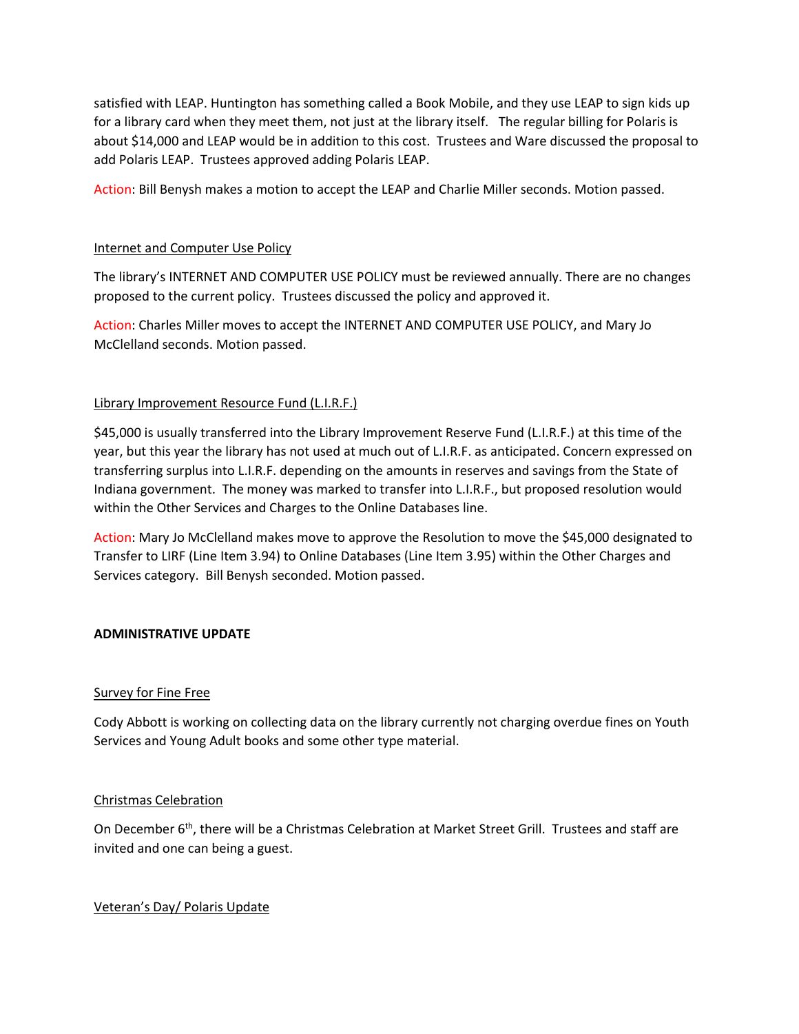satisfied with LEAP. Huntington has something called a Book Mobile, and they use LEAP to sign kids up for a library card when they meet them, not just at the library itself. The regular billing for Polaris is about \$14,000 and LEAP would be in addition to this cost. Trustees and Ware discussed the proposal to add Polaris LEAP. Trustees approved adding Polaris LEAP.

Action: Bill Benysh makes a motion to accept the LEAP and Charlie Miller seconds. Motion passed.

## Internet and Computer Use Policy

The library's INTERNET AND COMPUTER USE POLICY must be reviewed annually. There are no changes proposed to the current policy. Trustees discussed the policy and approved it.

Action: Charles Miller moves to accept the INTERNET AND COMPUTER USE POLICY, and Mary Jo McClelland seconds. Motion passed.

## Library Improvement Resource Fund (L.I.R.F.)

\$45,000 is usually transferred into the Library Improvement Reserve Fund (L.I.R.F.) at this time of the year, but this year the library has not used at much out of L.I.R.F. as anticipated. Concern expressed on transferring surplus into L.I.R.F. depending on the amounts in reserves and savings from the State of Indiana government. The money was marked to transfer into L.I.R.F., but proposed resolution would within the Other Services and Charges to the Online Databases line.

Action: Mary Jo McClelland makes move to approve the Resolution to move the \$45,000 designated to Transfer to LIRF (Line Item 3.94) to Online Databases (Line Item 3.95) within the Other Charges and Services category. Bill Benysh seconded. Motion passed.

## **ADMINISTRATIVE UPDATE**

## Survey for Fine Free

Cody Abbott is working on collecting data on the library currently not charging overdue fines on Youth Services and Young Adult books and some other type material.

## Christmas Celebration

On December 6<sup>th</sup>, there will be a Christmas Celebration at Market Street Grill. Trustees and staff are invited and one can being a guest.

## Veteran's Day/ Polaris Update